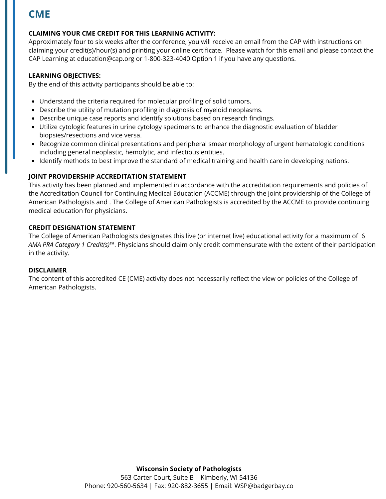# **CME**

## **CLAIMING YOUR CME CREDIT FOR THIS LEARNING ACTIVITY:**

Approximately four to six weeks after the conference, you will receive an email from the CAP with instructions on claiming your credit(s)/hour(s) and printing your online certificate. Please watch for this email and please contact the CAP Learning at education@cap.org or 1-800-323-4040 Option 1 if you have any questions.

### **LEARNING OBJECTIVES:**

By the end of this activity participants should be able to:

- Understand the criteria required for molecular profiling of solid tumors.
- Describe the utility of mutation profiling in diagnosis of myeloid neoplasms.
- Describe unique case reports and identify solutions based on research findings.
- Utilize cytologic features in urine cytology specimens to enhance the diagnostic evaluation of bladder biopsies/resections and vice versa.
- Recognize common clinical presentations and peripheral smear morphology of urgent hematologic conditions including general neoplastic, hemolytic, and infectious entities.
- Identify methods to best improve the standard of medical training and health care in developing nations.

### **JOINT PROVIDERSHIP ACCREDITATION STATEMENT**

This activity has been planned and implemented in accordance with the accreditation requirements and policies of the Accreditation Council for Continuing Medical Education (ACCME) through the joint providership of the College of American Pathologists and . The College of American Pathologists is accredited by the ACCME to provide continuing medical education for physicians.

### **CREDIT DESIGNATION STATEMENT**

The College of American Pathologists designates this live (or internet live) educational activity for a maximum of 6 *AMA PRA Category 1 Credit(s)™*. Physicians should claim only credit commensurate with the extent of their participation in the activity.

#### **DISCLAIMER**

The content of this accredited CE (CME) activity does not necessarily reflect the view or policies of the College of American Pathologists.